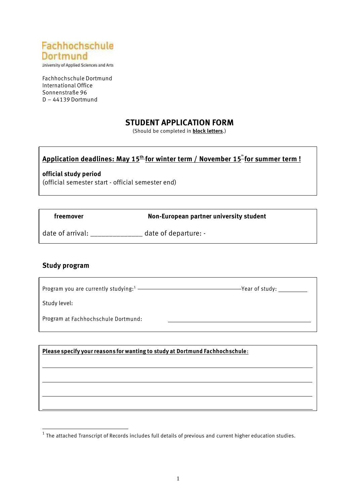

University of Applied Sciences and Arts

Fachhochschule Dortmund International Office Sonnenstraße 96 D – 44139 Dortmund

#### **STUDENT APPLICATION FORM**

(Should be completed in **block letters**.)

#### **Application deadlines: May 15th for winter term / November 15 th for summer term !**

**official study period** (official semester start - official semester end)

 **freemover hon-European partner university student** 

date of arrival: \_\_\_\_\_\_\_\_\_\_\_\_\_\_\_ date of departure: -

#### **Study program**

| Program you are currently studying: $1$ | $-\gamma$ ear of studv: |
|-----------------------------------------|-------------------------|
|                                         |                         |

Study level:

Program at Fachhochschule Dortmund:

**Please specify yourreasons for wanting to study at Dortmund Fachhochschule**:

 $^{\rm 1}$  The attached Transcript of Records includes full details of previous and current higher education studies.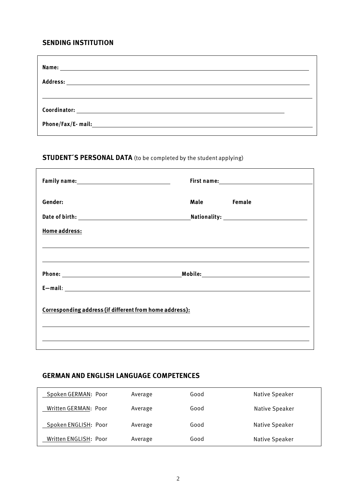#### **SENDING INSTITUTION**

| Name:<br><u> Alexandria de la contrada de la contrada de la contrada de la contrada de la contrada de la contrada de la c</u>                                                                                                  |  |
|--------------------------------------------------------------------------------------------------------------------------------------------------------------------------------------------------------------------------------|--|
|                                                                                                                                                                                                                                |  |
|                                                                                                                                                                                                                                |  |
|                                                                                                                                                                                                                                |  |
| Phone/Fax/E-mail: University of the contract of the contract of the contract of the contract of the contract of the contract of the contract of the contract of the contract of the contract of the contract of the contract o |  |

# **STUDENT´S PERSONAL DATA** (to be completed by the student applying)

| Gender:                                                 | <b>Male</b><br>Female |  |
|---------------------------------------------------------|-----------------------|--|
|                                                         |                       |  |
| <b>Home address:</b>                                    |                       |  |
|                                                         |                       |  |
|                                                         |                       |  |
|                                                         |                       |  |
|                                                         |                       |  |
| Corresponding address (if different from home address): |                       |  |
|                                                         |                       |  |
|                                                         |                       |  |

#### **GERMAN AND ENGLISH LANGUAGE COMPETENCES**

| Spoken GERMAN: Poor   | Average | Good | Native Speaker |
|-----------------------|---------|------|----------------|
| Written GERMAN: Poor  | Average | Good | Native Speaker |
| Spoken ENGLISH: Poor  | Average | Good | Native Speaker |
| Written ENGLISH: Poor | Average | Good | Native Speaker |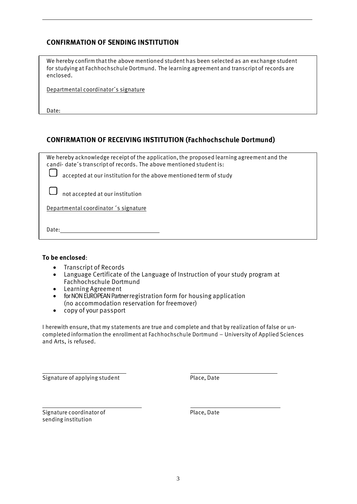### **CONFIRMATION OF SENDING INSTITUTION**

We hereby confirm that the above mentioned student has been selected as an exchange student for studying at Fachhochschule Dortmund. The learning agreement and transcript of records are enclosed.

Departmental coordinator´s signature

Date:

#### **CONFIRMATION OF RECEIVING INSTITUTION (Fachhochschule Dortmund)**

| We hereby acknowledge receipt of the application, the proposed learning agreement and the<br>candi-date's transcript of records. The above mentioned student is: |
|------------------------------------------------------------------------------------------------------------------------------------------------------------------|
| accepted at our institution for the above mentioned term of study                                                                                                |
| $\Box$ not accepted at our institution                                                                                                                           |
| Departmental coordinator 's signature                                                                                                                            |
| Date:                                                                                                                                                            |

#### **To be enclosed**:

- Transcript of Records
- Language Certificate of the Language of Instruction of your study program at Fachhochschule Dortmund
- Learning Agreement
- for NON EUROPEAN Partner registration form for housing application (no accommodation reservation for freemover)
- copy of your passport

I herewith ensure, that my statements are true and complete and that by realization of false or uncompleted information the enrollment at Fachhochschule Dortmund – University of Applied Sciences and Arts, is refused.

Signature of applying student example and place, Date

Signature coordinator of Place, Date sending institution